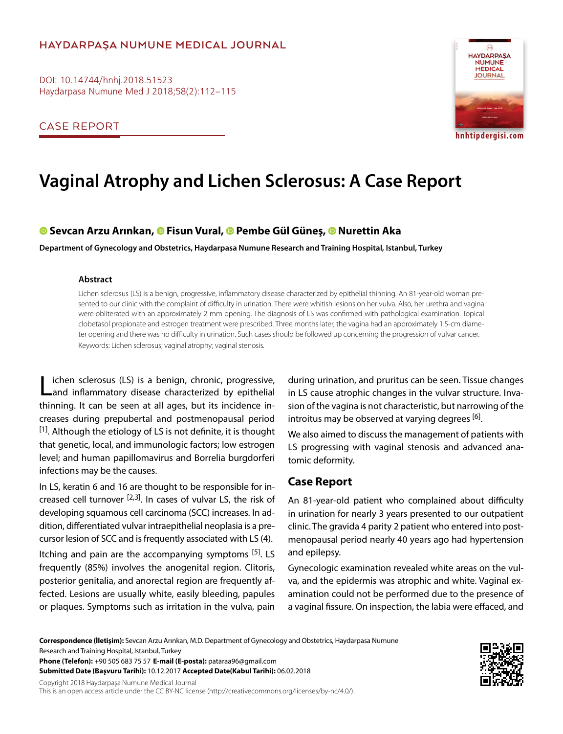# **HAYDARPAŞA NUMUNE MEDICAL JOURNAL**

DOI: 10.14744/hnhj.2018.51523 Haydarpasa Numune Med J 2018;58(2):112–115

CASE REPORT



# **Vaginal Atrophy and Lichen Sclerosus: A Case Report**

## **Sevcan Arzu Arınkan[,](https://orcid.org/0000-0002-1103-7357) Fisun Vural, Pembe Gül Güneş,Nurettin Aka**

**Department of Gynecology and Obstetrics, Haydarpasa Numune Research and Training Hospital, Istanbul, Turkey**

#### **Abstract**

Lichen sclerosus (LS) is a benign, progressive, inflammatory disease characterized by epithelial thinning. An 81-year-old woman presented to our clinic with the complaint of difficulty in urination. There were whitish lesions on her vulva. Also, her urethra and vagina were obliterated with an approximately 2 mm opening. The diagnosis of LS was confirmed with pathological examination. Topical clobetasol propionate and estrogen treatment were prescribed. Three months later, the vagina had an approximately 1.5-cm diameter opening and there was no difficulty in urination. Such cases should be followed up concerning the progression of vulvar cancer. Keywords: Lichen sclerosus; vaginal atrophy; vaginal stenosis.

ichen sclerosus (LS) is a benign, chronic, progressive, and inflammatory disease characterized by epithelial thinning. It can be seen at all ages, but its incidence increases during prepubertal and postmenopausal period  $[1]$ . Although the etiology of LS is not definite, it is thought that genetic, local, and immunologic factors; low estrogen level; and human papillomavirus and Borrelia burgdorferi infections may be the causes.

In LS, keratin 6 and 16 are thought to be responsible for increased cell turnover  $[2,3]$ . In cases of vulvar LS, the risk of developing squamous cell carcinoma (SCC) increases. In addition, differentiated vulvar intraepithelial neoplasia is a precursor lesion of SCC and is frequently associated with LS (4).

Itching and pain are the accompanying symptoms  $[5]$ . LS frequently (85%) involves the anogenital region. Clitoris, posterior genitalia, and anorectal region are frequently affected. Lesions are usually white, easily bleeding, papules or plaques. Symptoms such as irritation in the vulva, pain during urination, and pruritus can be seen. Tissue changes in LS cause atrophic changes in the vulvar structure. Invasion of the vagina is not characteristic, but narrowing of the introitus may be observed at varying degrees <sup>[6]</sup>.

We also aimed to discuss the management of patients with LS progressing with vaginal stenosis and advanced anatomic deformity.

## **Case Report**

An 81-year-old patient who complained about difficulty in urination for nearly 3 years presented to our outpatient clinic. The gravida 4 parity 2 patient who entered into postmenopausal period nearly 40 years ago had hypertension and epilepsy.

Gynecologic examination revealed white areas on the vulva, and the epidermis was atrophic and white. Vaginal examination could not be performed due to the presence of a vaginal fissure. On inspection, the labia were effaced, and

**Correspondence (İletişim):** Sevcan Arzu Arınkan, M.D. Department of Gynecology and Obstetrics, Haydarpasa Numune Research and Training Hospital, Istanbul, Turkey

**Phone (Telefon):** +90 505 683 75 57 **E-mail (E-posta):** pataraa96@gmail.com **Submitted Date (Başvuru Tarihi):** 10.12.2017 **Accepted Date(Kabul Tarihi):** 06.02.2018

Copyright 2018 Haydarpaşa Numune Medical Journal This is an open access article under the CC BY-NC license (http://creativecommons.org/licenses/by-nc/4.0/).

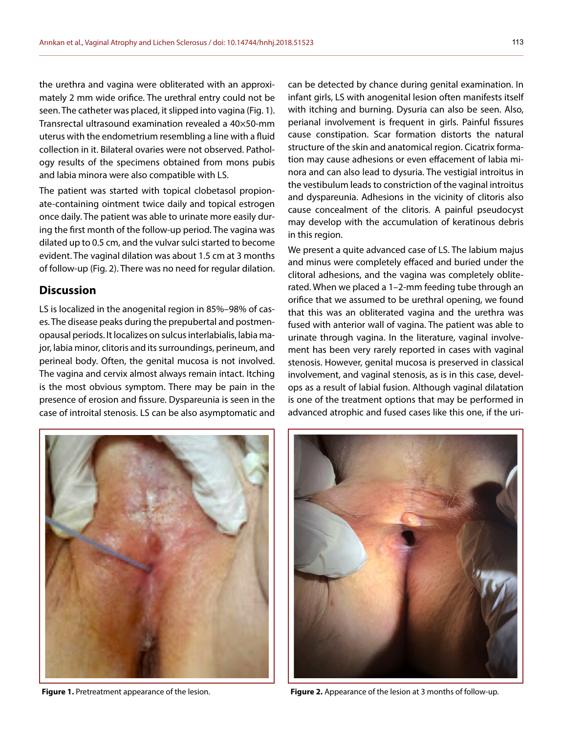the urethra and vagina were obliterated with an approximately 2 mm wide orifice. The urethral entry could not be seen. The catheter was placed, it slipped into vagina (Fig. 1). Transrectal ultrasound examination revealed a 40×50-mm uterus with the endometrium resembling a line with a fluid collection in it. Bilateral ovaries were not observed. Pathology results of the specimens obtained from mons pubis and labia minora were also compatible with LS.

The patient was started with topical clobetasol propionate-containing ointment twice daily and topical estrogen once daily. The patient was able to urinate more easily during the first month of the follow-up period. The vagina was dilated up to 0.5 cm, and the vulvar sulci started to become evident. The vaginal dilation was about 1.5 cm at 3 months of follow-up (Fig. 2). There was no need for regular dilation.

### **Discussion**

LS is localized in the anogenital region in 85%–98% of cases. The disease peaks during the prepubertal and postmenopausal periods. It localizes on sulcus interlabialis, labia major, labia minor, clitoris and its surroundings, perineum, and perineal body. Often, the genital mucosa is not involved. The vagina and cervix almost always remain intact. Itching is the most obvious symptom. There may be pain in the presence of erosion and fissure. Dyspareunia is seen in the case of introital stenosis. LS can be also asymptomatic and

can be detected by chance during genital examination. In infant girls, LS with anogenital lesion often manifests itself with itching and burning. Dysuria can also be seen. Also, perianal involvement is frequent in girls. Painful fissures cause constipation. Scar formation distorts the natural structure of the skin and anatomical region. Cicatrix formation may cause adhesions or even effacement of labia minora and can also lead to dysuria. The vestigial introitus in the vestibulum leads to constriction of the vaginal introitus and dyspareunia. Adhesions in the vicinity of clitoris also cause concealment of the clitoris. A painful pseudocyst may develop with the accumulation of keratinous debris in this region.

We present a quite advanced case of LS. The labium majus and minus were completely effaced and buried under the clitoral adhesions, and the vagina was completely obliterated. When we placed a 1–2-mm feeding tube through an orifice that we assumed to be urethral opening, we found that this was an obliterated vagina and the urethra was fused with anterior wall of vagina. The patient was able to urinate through vagina. In the literature, vaginal involvement has been very rarely reported in cases with vaginal stenosis. However, genital mucosa is preserved in classical involvement, and vaginal stenosis, as is in this case, develops as a result of labial fusion. Although vaginal dilatation is one of the treatment options that may be performed in advanced atrophic and fused cases like this one, if the uri-





**Figure 1.** Pretreatment appearance of the lesion. **Figure 2.** Appearance of the lesion at 3 months of follow-up.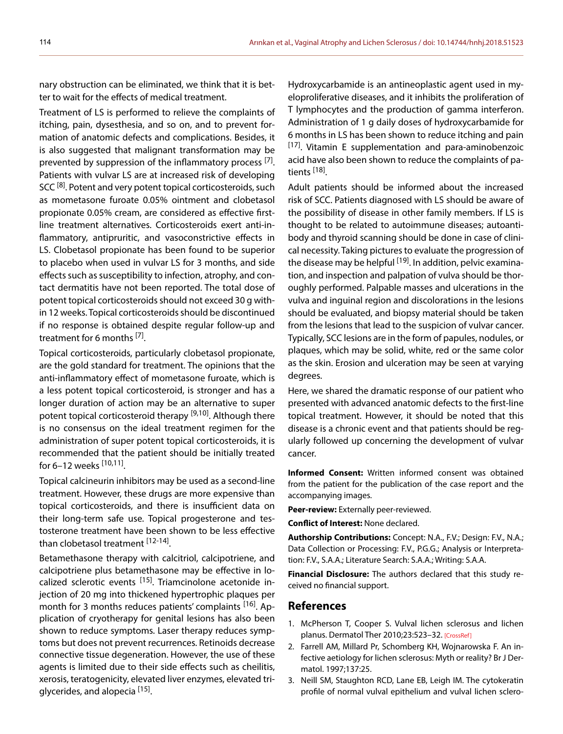nary obstruction can be eliminated, we think that it is better to wait for the effects of medical treatment.

Treatment of LS is performed to relieve the complaints of itching, pain, dysesthesia, and so on, and to prevent formation of anatomic defects and complications. Besides, it is also suggested that malignant transformation may be prevented by suppression of the inflammatory process <sup>[7]</sup>. Patients with vulvar LS are at increased risk of developing SCC<sup>[8]</sup>. Potent and very potent topical corticosteroids, such as mometasone furoate 0.05% ointment and clobetasol propionate 0.05% cream, are considered as effective firstline treatment alternatives. Corticosteroids exert anti-inflammatory, antipruritic, and vasoconstrictive effects in LS. Clobetasol propionate has been found to be superior to placebo when used in vulvar LS for 3 months, and side effects such as susceptibility to infection, atrophy, and contact dermatitis have not been reported. The total dose of potent topical corticosteroids should not exceed 30 g within 12 weeks. Topical corticosteroids should be discontinued if no response is obtained despite regular follow-up and treatment for 6 months [7].

Topical corticosteroids, particularly clobetasol propionate, are the gold standard for treatment. The opinions that the anti-inflammatory effect of mometasone furoate, which is a less potent topical corticosteroid, is stronger and has a longer duration of action may be an alternative to super potent topical corticosteroid therapy <sup>[9,10]</sup>. Although there is no consensus on the ideal treatment regimen for the administration of super potent topical corticosteroids, it is recommended that the patient should be initially treated for 6–12 weeks  $[10, 11]$ .

Topical calcineurin inhibitors may be used as a second-line treatment. However, these drugs are more expensive than topical corticosteroids, and there is insufficient data on their long-term safe use. Topical progesterone and testosterone treatment have been shown to be less effective than clobetasol treatment <sup>[12-14]</sup>.

Betamethasone therapy with calcitriol, calcipotriene, and calcipotriene plus betamethasone may be effective in localized sclerotic events <sup>[15]</sup>. Triamcinolone acetonide injection of 20 mg into thickened hypertrophic plaques per month for 3 months reduces patients' complaints <sup>[16]</sup>. Application of cryotherapy for genital lesions has also been shown to reduce symptoms. Laser therapy reduces symptoms but does not prevent recurrences. Retinoids decrease connective tissue degeneration. However, the use of these agents is limited due to their side effects such as cheilitis, xerosis, teratogenicity, elevated liver enzymes, elevated triglycerides, and alopecia [15].

Hydroxycarbamide is an antineoplastic agent used in myeloproliferative diseases, and it inhibits the proliferation of T lymphocytes and the production of gamma interferon. Administration of 1 g daily doses of hydroxycarbamide for 6 months in LS has been shown to reduce itching and pain  $[17]$ . Vitamin E supplementation and para-aminobenzoic acid have also been shown to reduce the complaints of patients [18].

Adult patients should be informed about the increased risk of SCC. Patients diagnosed with LS should be aware of the possibility of disease in other family members. If LS is thought to be related to autoimmune diseases; autoantibody and thyroid scanning should be done in case of clinical necessity. Taking pictures to evaluate the progression of the disease may be helpful  $[19]$ . In addition, pelvic examination, and inspection and palpation of vulva should be thoroughly performed. Palpable masses and ulcerations in the vulva and inguinal region and discolorations in the lesions should be evaluated, and biopsy material should be taken from the lesions that lead to the suspicion of vulvar cancer. Typically, SCC lesions are in the form of papules, nodules, or plaques, which may be solid, white, red or the same color as the skin. Erosion and ulceration may be seen at varying degrees.

Here, we shared the dramatic response of our patient who presented with advanced anatomic defects to the first-line topical treatment. However, it should be noted that this disease is a chronic event and that patients should be regularly followed up concerning the development of vulvar cancer.

**Informed Consent:** Written informed consent was obtained from the patient for the publication of the case report and the accompanying images.

**Peer-review:** Externally peer-reviewed.

**Conflict of Interest:** None declared.

**Authorship Contributions:** Concept: N.A., F.V.; Design: F.V., N.A.; Data Collection or Processing: F.V., P.G.G.; Analysis or Interpretation: F.V., S.A.A.; Literature Search: S.A.A.; Writing: S.A.A.

**Financial Disclosure:** The authors declared that this study received no financial support.

## **References**

- 1. McPherson T, Cooper S. Vulval lichen sclerosus and lichen planus. Dermatol Ther 2010;23:523-3[2. \[CrossRef\]](https://doi.org/10.1111/j.1529-8019.2010.01355.x)
- 2. Farrell AM, Millard Pr, Schomberg KH, Wojnarowska F. An infective aetiology for lichen sclerosus: Myth or reality? Br J Dermatol. 1997;137:25.
- 3. Neill SM, Staughton RCD, Lane EB, Leigh IM. The cytokeratin profile of normal vulval epithelium and vulval lichen sclero-